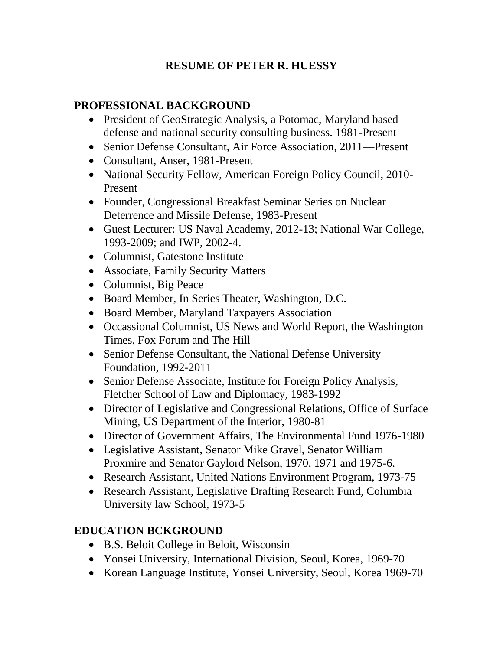## **RESUME OF PETER R. HUESSY**

## **PROFESSIONAL BACKGROUND**

- President of GeoStrategic Analysis, a Potomac, Maryland based defense and national security consulting business. 1981-Present
- Senior Defense Consultant, Air Force Association, 2011—Present
- Consultant, Anser, 1981-Present
- National Security Fellow, American Foreign Policy Council, 2010-Present
- Founder, Congressional Breakfast Seminar Series on Nuclear Deterrence and Missile Defense, 1983-Present
- Guest Lecturer: US Naval Academy, 2012-13; National War College, 1993-2009; and IWP, 2002-4.
- Columnist, Gatestone Institute
- Associate, Family Security Matters
- Columnist, Big Peace
- Board Member, In Series Theater, Washington, D.C.
- Board Member, Maryland Taxpayers Association
- Occassional Columnist, US News and World Report, the Washington Times, Fox Forum and The Hill
- Senior Defense Consultant, the National Defense University Foundation, 1992-2011
- Senior Defense Associate, Institute for Foreign Policy Analysis, Fletcher School of Law and Diplomacy, 1983-1992
- Director of Legislative and Congressional Relations, Office of Surface Mining, US Department of the Interior, 1980-81
- Director of Government Affairs, The Environmental Fund 1976-1980
- Legislative Assistant, Senator Mike Gravel, Senator William Proxmire and Senator Gaylord Nelson, 1970, 1971 and 1975-6.
- Research Assistant, United Nations Environment Program, 1973-75
- Research Assistant, Legislative Drafting Research Fund, Columbia University law School, 1973-5

## **EDUCATION BCKGROUND**

- B.S. Beloit College in Beloit, Wisconsin
- Yonsei University, International Division, Seoul, Korea, 1969-70
- Korean Language Institute, Yonsei University, Seoul, Korea 1969-70